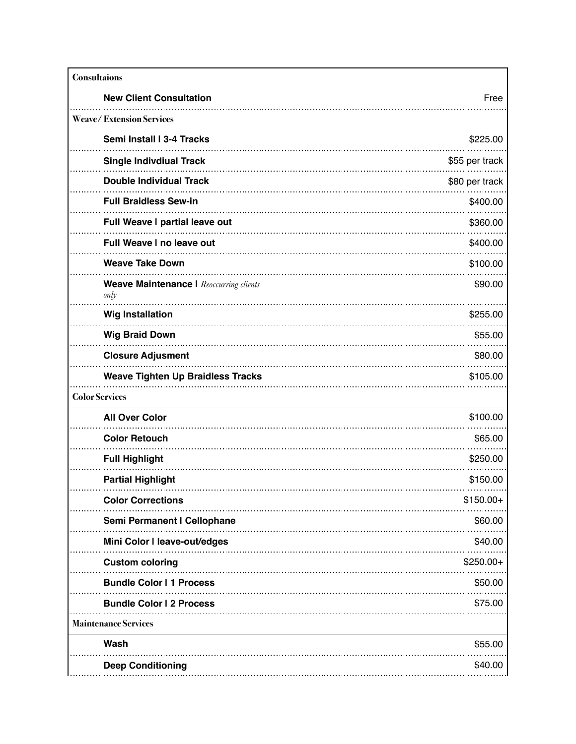| <b>Consultaions</b>                                    |                |
|--------------------------------------------------------|----------------|
| <b>New Client Consultation</b>                         | Free           |
| <b>Weave/Extension Services</b>                        |                |
| Semi Install I 3-4 Tracks                              | \$225.00       |
| <b>Single Indivdiual Track</b>                         | \$55 per track |
| <b>Double Individual Track</b>                         | \$80 per track |
| <b>Full Braidless Sew-in</b>                           | \$400.00       |
| Full Weave I partial leave out                         | \$360.00       |
| <b>Full Weave I no leave out</b>                       | \$400.00       |
| <b>Weave Take Down</b>                                 | \$100.00       |
| <b>Weave Maintenance I Reoccurring clients</b><br>only | \$90.00        |
| <b>Wig Installation</b>                                | \$255.00       |
| <b>Wig Braid Down</b>                                  | \$55.00        |
| <b>Closure Adjusment</b>                               | \$80.00        |
| <b>Weave Tighten Up Braidless Tracks</b>               | \$105.00       |
| <b>Color Services</b>                                  |                |
| <b>All Over Color</b>                                  | \$100.00       |
| <b>Color Retouch</b>                                   | \$65.00        |
| <b>Full Highlight</b>                                  | \$250.00       |
| <b>Partial Highlight</b>                               | \$150.00       |
| <b>Color Corrections</b>                               | $$150.00+$     |
| Semi Permanent I Cellophane                            | \$60.00        |
| Mini Color I leave-out/edges                           | \$40.00        |
| <b>Custom coloring</b>                                 | $$250.00+$     |
| <b>Bundle Color   1 Process</b>                        | \$50.00        |
| <b>Bundle Color I 2 Process</b>                        | \$75.00        |
| <b>Maintenance Services</b>                            |                |
| Wash                                                   | \$55.00        |
| <b>Deep Conditioning</b>                               | \$40.00        |